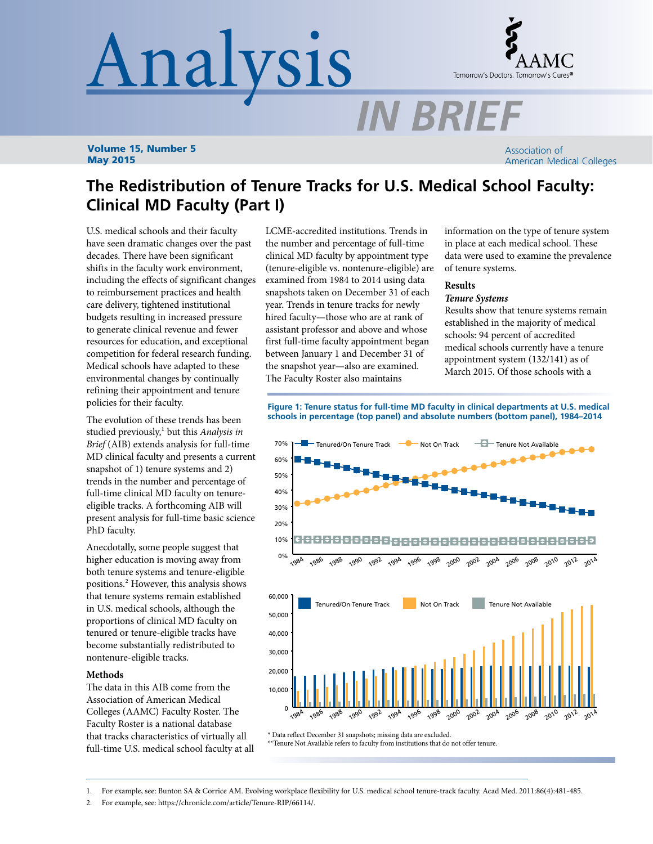# Analysis



Volume 15, Number 5 May 2015

Association of American Medical Colleges

# **The Redistribution of Tenure Tracks for U.S. Medical School Faculty: Clinical MD Faculty (Part I)**

U.S. medical schools and their faculty have seen dramatic changes over the past decades. There have been significant shifts in the faculty work environment, including the effects of significant changes to reimbursement practices and health care delivery, tightened institutional budgets resulting in increased pressure to generate clinical revenue and fewer resources for education, and exceptional competition for federal research funding. Medical schools have adapted to these environmental changes by continually refining their appointment and tenure policies for their faculty.

The evolution of these trends has been studied previously,<sup>1</sup> but this *Analysis in Brief* (AIB) extends analysis for full-time MD clinical faculty and presents a current snapshot of 1) tenure systems and 2) trends in the number and percentage of full-time clinical MD faculty on tenureeligible tracks. A forthcoming AIB will present analysis for full-time basic science PhD faculty.

Anecdotally, some people suggest that higher education is moving away from both tenure systems and tenure-eligible positions.2 However, this analysis shows that tenure systems remain established in U.S. medical schools, although the proportions of clinical MD faculty on tenured or tenure-eligible tracks have become substantially redistributed to nontenure-eligible tracks.

### **Methods**

The data in this AIB come from the Association of American Medical Colleges (AAMC) Faculty Roster. The Faculty Roster is a national database that tracks characteristics of virtually all full-time U.S. medical school faculty at all

LCME-accredited institutions. Trends in the number and percentage of full-time clinical MD faculty by appointment type (tenure-eligible vs. nontenure-eligible) are examined from 1984 to 2014 using data snapshots taken on December 31 of each year. Trends in tenure tracks for newly hired faculty—those who are at rank of assistant professor and above and whose first full-time faculty appointment began between January 1 and December 31 of the snapshot year—also are examined. The Faculty Roster also maintains

information on the type of tenure system in place at each medical school. These data were used to examine the prevalence of tenure systems.

# **Results**

**IN BRIEF** 

### *Tenure Systems*

Results show that tenure systems remain established in the majority of medical schools: 94 percent of accredited medical schools currently have a tenure appointment system (132/141) as of March 2015. Of those schools with a

**Figure 1: Tenure status for full-time MD faculty in clinical departments at U.S. medical schools in percentage (top panel) and absolute numbers (bottom panel), 1984–2014**



\* Data reflect December 31 snapshots; missing data are excluded.

\*\*Tenure Not Available refers to faculty from institutions that do not offer tenure.

1. For example, see: Bunton SA & Corrice AM. Evolving workplace flexibility for U.S. medical school tenure-track faculty. Acad Med. 2011:86(4):481-485.

2. For example, see: https://chronicle.com/article/Tenure-RIP/66114/.